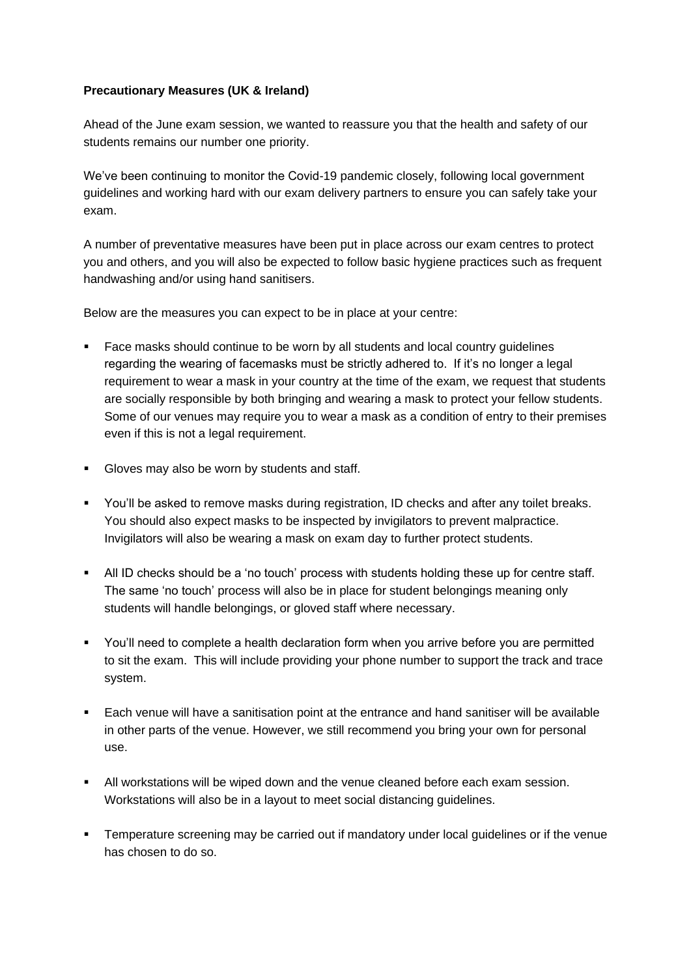## **Precautionary Measures (UK & Ireland)**

Ahead of the June exam session, we wanted to reassure you that the health and safety of our students remains our number one priority.

We've been continuing to monitor the Covid-19 pandemic closely, following local government guidelines and working hard with our exam delivery partners to ensure you can safely take your exam.

A number of preventative measures have been put in place across our exam centres to protect you and others, and you will also be expected to follow basic hygiene practices such as frequent handwashing and/or using hand sanitisers.

Below are the measures you can expect to be in place at your centre:

- Face masks should continue to be worn by all students and local country guidelines regarding the wearing of facemasks must be strictly adhered to. If it's no longer a legal requirement to wear a mask in your country at the time of the exam, we request that students are socially responsible by both bringing and wearing a mask to protect your fellow students. Some of our venues may require you to wear a mask as a condition of entry to their premises even if this is not a legal requirement.
- Gloves may also be worn by students and staff.
- You'll be asked to remove masks during registration, ID checks and after any toilet breaks. You should also expect masks to be inspected by invigilators to prevent malpractice. Invigilators will also be wearing a mask on exam day to further protect students.
- All ID checks should be a 'no touch' process with students holding these up for centre staff. The same 'no touch' process will also be in place for student belongings meaning only students will handle belongings, or gloved staff where necessary.
- You'll need to complete a health declaration form when you arrive before you are permitted to sit the exam. This will include providing your phone number to support the track and trace system.
- Each venue will have a sanitisation point at the entrance and hand sanitiser will be available in other parts of the venue. However, we still recommend you bring your own for personal use.
- All workstations will be wiped down and the venue cleaned before each exam session. Workstations will also be in a layout to meet social distancing guidelines.
- **•** Temperature screening may be carried out if mandatory under local guidelines or if the venue has chosen to do so.